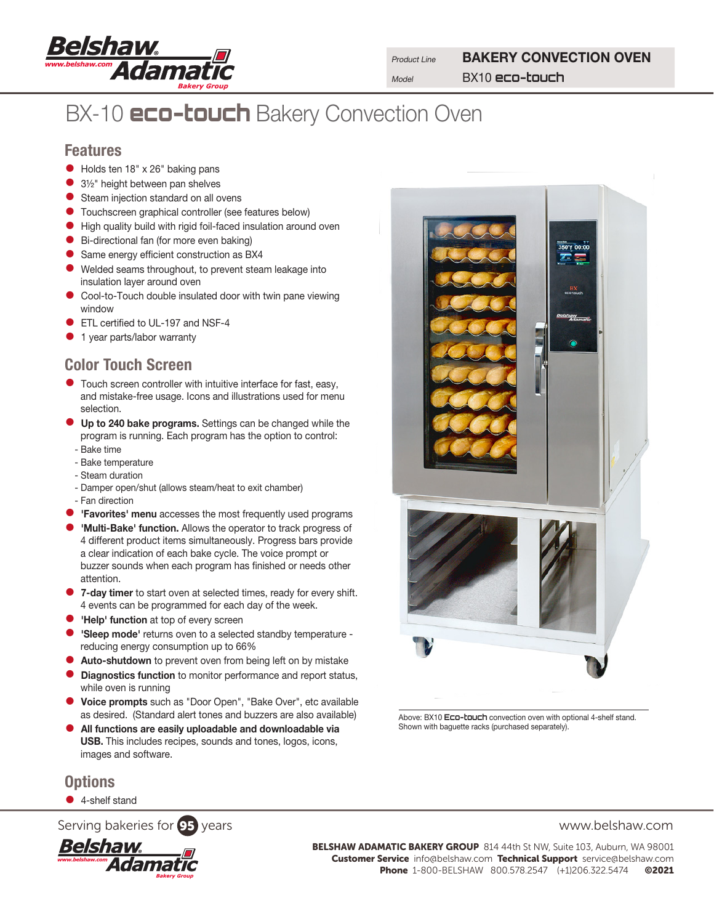

**Product Line** BAKERY CONVECTION OVEN Model BX10 **eco-touch**

# BX-10 **eco-touch** Bakery Convection Oven

#### Features

- Holds ten 18" x 26" baking pans
- 3½" height between pan shelves
- **•** Steam injection standard on all ovens
- **Touchscreen graphical controller (see features below)**
- High quality build with rigid foil-faced insulation around oven
- Bi-directional fan (for more even baking)
- Same energy efficient construction as BX4
- Welded seams throughout, to prevent steam leakage into insulation layer around oven
- Cool-to-Touch double insulated door with twin pane viewing window
- **ETL certified to UL-197 and NSF-4**
- **•** 1 year parts/labor warranty

### Color Touch Screen

- Touch screen controller with intuitive interface for fast, easy, and mistake-free usage. Icons and illustrations used for menu selection.
- **Up to 240 bake programs.** Settings can be changed while the program is running. Each program has the option to control:
	- Bake time
- Bake temperature
- Steam duration
- Damper open/shut (allows steam/heat to exit chamber) - Fan direction
- **'Favorites' menu** accesses the most frequently used programs
- **'Multi-Bake' function.** Allows the operator to track progress of 4 different product items simultaneously. Progress bars provide a clear indication of each bake cycle. The voice prompt or buzzer sounds when each program has finished or needs other attention.
- 7-day timer to start oven at selected times, ready for every shift. 4 events can be programmed for each day of the week.
- **'Help' function** at top of every screen
- 'Sleep mode' returns oven to a selected standby temperature reducing energy consumption up to 66%
- **Auto-shutdown** to prevent oven from being left on by mistake
- **Diagnostics function** to monitor performance and report status, while oven is running
- Voice prompts such as "Door Open", "Bake Over", etc available as desired. (Standard alert tones and buzzers are also available)
- All functions are easily uploadable and downloadable via USB. This includes recipes, sounds and tones, logos, icons, images and software.

### **Options**

● 4-shelf stand

Serving bakeries for **95** years www.belshaw.com



BELSHAW ADAMATIC BAKERY GROUP 814 44th St NW, Suite 103, Auburn, WA 98001 Customer Service info@belshaw.com Technical Support service@belshaw.com Phone 1-800-BELSHAW 800.578.2547 (+1)206.322.5474 ©2021



Above: BX10 **Eco-touch** convection oven with optional 4-shelf stand. Shown with baguette racks (purchased separately).